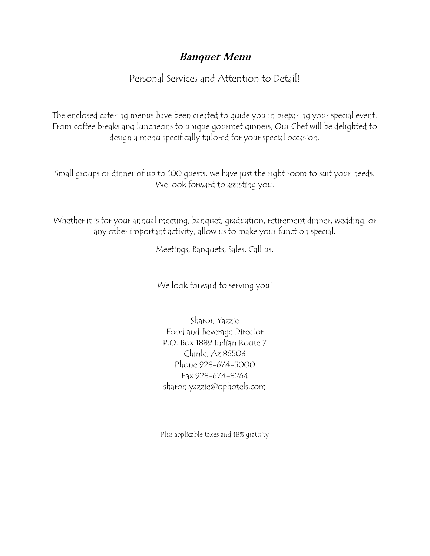Personal Services and Attention to Detail!

The enclosed catering menus have been created to guide you in preparing your special event. From coffee breaks and luncheons to unique gourmet dinners, Our Chef will be delighted to design a menu specifically tailored for your special occasion.

Small groups or dinner of up to 100 guests, we have just the right room to suit your needs. We look forward to assisting you.

Whether it is for your annual meeting, banquet, graduation, retirement dinner, wedding, or any other important activity, allow us to make your function special.

Meetings, Banquets, Sales, Call us.

We look forward to serving you!

Sharon Yazzie Food and Beverage Director P.O. Box 1889 Indian Route 7 Chinle, Az 86503 Phone 928-674-5000 Fax 928-674-8264 sharon.yazzie@ophotels.com

Plus applicable taxes and 18% gratuity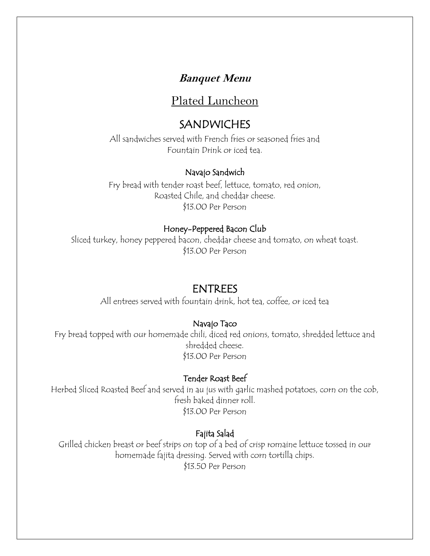## Plated Luncheon

# SANDWICHES

All sandwiches served with French fries or seasoned fries and Fountain Drink or iced tea.

### Navajo Sandwich

Fry bread with tender roast beef, lettuce, tomato, red onion, Roasted Chile, and cheddar cheese. \$13.00 Per Person

### Honey-Peppered Bacon Club

Sliced turkey, honey peppered bacon, cheddar cheese and tomato, on wheat toast. \$13.00 Per Person

### ENTREES

All entrees served with fountain drink, hot tea, coffee, or iced tea

### Navajo Taco

Fry bread topped with our homemade chili, diced red onions, tomato, shredded lettuce and shredded cheese. \$13.00 Per Person

#### Tender Roast Beef

Herbed Sliced Roasted Beef and served in au jus with garlic mashed potatoes, corn on the cob, fresh baked dinner roll. \$13.00 Per Person

### Fajita Salad

Grilled chicken breast or beef strips on top of a bed of crisp romaine lettuce tossed in our homemade fajita dressing. Served with corn tortilla chips. \$13.50 Per Person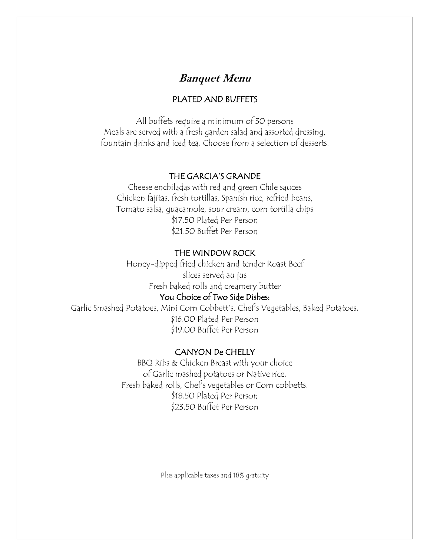#### PLATED AND BUFFETS

All buffets require a minimum of 30 persons Meals are served with a fresh garden salad and assorted dressing, fountain drinks and iced tea. Choose from a selection of desserts.

#### THE GARCIA'S GRANDE

Cheese enchiladas with red and green Chile sauces Chicken fajitas, fresh tortillas, Spanish rice, refried beans, Tomato salsa, guacamole, sour cream, corn tortilla chips \$17.50 Plated Per Person \$21.50 Buffet Per Person

#### THE WINDOW ROCK

Honey-dipped fried chicken and tender Roast Beef slices served au jus Fresh baked rolls and creamery butter

#### You Choice of Two Side Dishes:

Garlic Smashed Potatoes, Mini Corn Cobbett's, Chef's Vegetables, Baked Potatoes. \$16.00 Plated Per Person \$19.00 Buffet Per Person

#### CANYON De CHELLY

BBQ Ribs & Chicken Breast with your choice of Garlic mashed potatoes or Native rice. Fresh baked rolls, Chef's vegetables or Corn cobbetts. \$18.50 Plated Per Person \$23.50 Buffet Per Person

Plus applicable taxes and 18% gratuity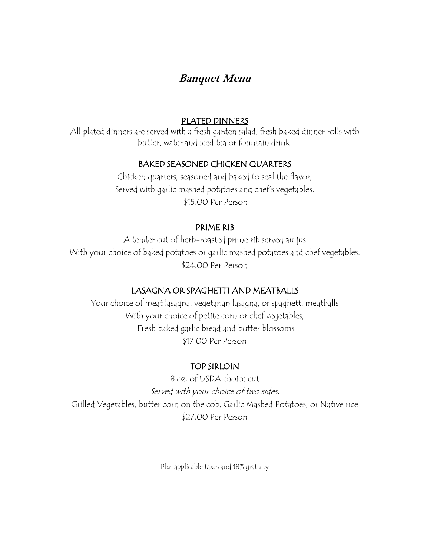#### PLATED DINNERS

All plated dinners are served with a fresh garden salad, fresh baked dinner rolls with butter, water and iced tea or fountain drink.

### BAKED SEASONED CHICKEN QUARTERS

Chicken quarters, seasoned and baked to seal the flavor, Served with garlic mashed potatoes and chef's vegetables. \$15.00 Per Person

#### PRIME RIB

A tender cut of herb-roasted prime rib served au jus With your choice of baked potatoes or garlic mashed potatoes and chef vegetables. \$24.00 Per Person

#### LASAGNA OR SPAGHETTI AND MEATBALLS

Your choice of meat lasagna, vegetarian lasagna, or spaghetti meatballs With your choice of petite corn or chef vegetables, Fresh baked garlic bread and butter blossoms \$17.00 Per Person

#### TOP SIRLOIN

8 oz. of USDA choice cut Served with your choice of two sides: Grilled Vegetables, butter corn on the cob, Garlic Mashed Potatoes, or Native rice \$27.00 Per Person

Plus applicable taxes and 18% gratuity